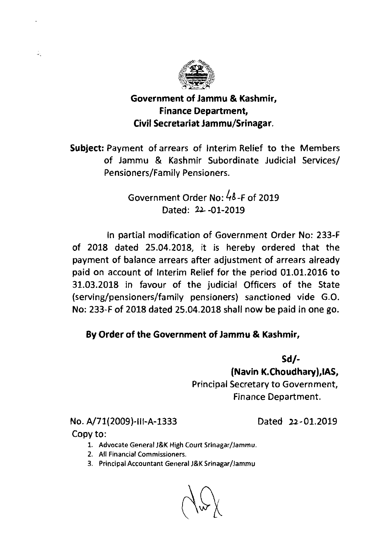

## Government of Jammu & Kashmir, Finance Department, Civil Secretariat Jammu/Srinagar.

Subject: Payment of arrears of lnterim Relief to the Members of Jammu & Kashmir Subordinate Judicial Services/ Pensioners/Family Pensioners.

> Government Order No: 48-F of 2019 Dated: *22* -01-2019

In partial modification of Government Order No: 233-F of 2018 dated 25.04.2018, it is hereby ordered that the payment of balance arrears after adjustment of arrears already paid on account of lnterim Relief for the period 01.01.2016 to 31.03.2018 in favour of the judicial Officers of the State **(serving/pensioners/family** pensioners) sanctioned vide G.O. No: 233-F of 2018 dated 25.04.2018 shall now be paid in one go.

## By Order of the Government of Jammu & Kashmir,

**Sd/-** 

(Navin K.Choudhary),lAS, Principal Secretary to Government, Finance Department.

No. A/71(2009)-Ill-A-1333 Dated 22-01.2019

Copy to:

 $\frac{1}{\sigma_{\rm b}}$ 

- **1. Advocate General J&K High Court Srinagar/Jammu.**
- **2. All Financial Commissioners.**
- **3. Principal Accountant General J&K Srinagar/Jammu**